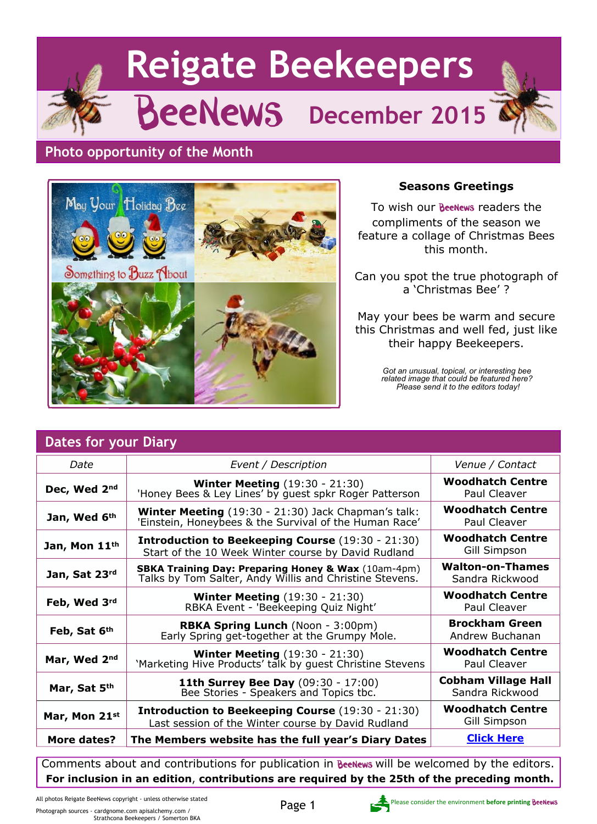# **Reigate Beekeepers** BeeNews **December 2015**

#### **Photo opportunity of the Month**



#### **Seasons Greetings**

To wish our **Beenews** readers the compliments of the season we feature a collage of Christmas Bees this month.

Can you spot the true photograph of a 'Christmas Bee' ?

May your bees be warm and secure this Christmas and well fed, just like their happy Beekeepers.

> *Got an unusual, topical, or interesting bee related image that could be featured here? Please send it to the editors today!*

| Dates for your Diary |                                                                                                                           |                                               |  |
|----------------------|---------------------------------------------------------------------------------------------------------------------------|-----------------------------------------------|--|
| Date                 | Event / Description                                                                                                       | Venue / Contact                               |  |
| Dec, Wed 2nd         | <b>Winter Meeting</b> (19:30 - 21:30)<br>'Honey Bees & Ley Lines' by guest spkr Roger Patterson                           | <b>Woodhatch Centre</b><br>Paul Cleaver       |  |
| Jan, Wed 6th         | Winter Meeting (19:30 - 21:30) Jack Chapman's talk:<br>'Einstein, Honeybees & the Survival of the Human Race'             | <b>Woodhatch Centre</b><br>Paul Cleaver       |  |
| Jan, Mon 11th        | <b>Introduction to Beekeeping Course</b> (19:30 - 21:30)<br>Start of the 10 Week Winter course by David Rudland           | <b>Woodhatch Centre</b><br>Gill Simpson       |  |
| Jan, Sat 23rd        | <b>SBKA Training Day: Preparing Honey &amp; Wax</b> (10am-4pm)<br>Talks by Tom Salter, Andy Willis and Christine Stevens. | <b>Walton-on-Thames</b><br>Sandra Rickwood    |  |
| Feb, Wed 3rd         | <b>Winter Meeting (19:30 - 21:30)</b><br>RBKA Event - 'Beekeeping Quiz Night'                                             | <b>Woodhatch Centre</b><br>Paul Cleaver       |  |
| Feb, Sat 6th         | <b>RBKA Spring Lunch</b> (Noon - 3:00pm)<br>Early Spring get-together at the Grumpy Mole.                                 | <b>Brockham Green</b><br>Andrew Buchanan      |  |
| Mar, Wed 2nd         | <b>Winter Meeting</b> (19:30 - 21:30)<br>'Marketing Hive Products' talk by guest Christine Stevens'                       | <b>Woodhatch Centre</b><br>Paul Cleaver       |  |
| Mar, Sat 5th         | 11th Surrey Bee Day (09:30 - 17:00)<br>Bee Stories - Speakers and Topics tbc.                                             | <b>Cobham Village Hall</b><br>Sandra Rickwood |  |
| Mar, Mon 21st        | <b>Introduction to Beekeeping Course (19:30 - 21:30)</b><br>Last session of the Winter course by David Rudland            | <b>Woodhatch Centre</b><br>Gill Simpson       |  |
| More dates?          | The Members website has the full year's Diary Dates                                                                       | <b>Click Here</b>                             |  |

Comments about and contributions for publication in BeeNews will be welcomed by the editors. **For inclusion in an edition**, **contributions are required by the 25th of the preceding month.**

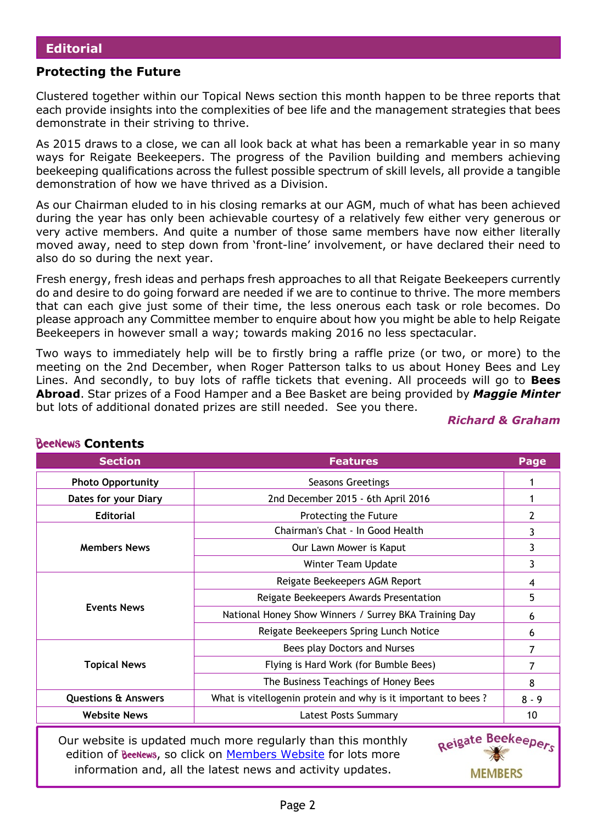#### **Protecting the Future**

Clustered together within our Topical News section this month happen to be three reports that each provide insights into the complexities of bee life and the management strategies that bees demonstrate in their striving to thrive.

As 2015 draws to a close, we can all look back at what has been a remarkable year in so many ways for Reigate Beekeepers. The progress of the Pavilion building and members achieving beekeeping qualifications across the fullest possible spectrum of skill levels, all provide a tangible demonstration of how we have thrived as a Division.

As our Chairman eluded to in his closing remarks at our AGM, much of what has been achieved during the year has only been achievable courtesy of a relatively few either very generous or very active members. And quite a number of those same members have now either literally moved away, need to step down from 'front-line' involvement, or have declared their need to also do so during the next year.

Fresh energy, fresh ideas and perhaps fresh approaches to all that Reigate Beekeepers currently do and desire to do going forward are needed if we are to continue to thrive. The more members that can each give just some of their time, the less onerous each task or role becomes. Do please approach any Committee member to enquire about how you might be able to help Reigate Beekeepers in however small a way; towards making 2016 no less spectacular.

Two ways to immediately help will be to firstly bring a raffle prize (or two, or more) to the meeting on the 2nd December, when Roger Patterson talks to us about Honey Bees and Ley Lines. And secondly, to buy lots of raffle tickets that evening. All proceeds will go to **Bees Abroad**. Star prizes of a Food Hamper and a Bee Basket are being provided by *Maggie Minter* but lots of additional donated prizes are still needed. See you there.

*Richard & Graham*

**MEMBERS** 

| <b>Section</b>                                                                                                                                      | <b>Features</b>                                               | Page         |  |
|-----------------------------------------------------------------------------------------------------------------------------------------------------|---------------------------------------------------------------|--------------|--|
| <b>Photo Opportunity</b>                                                                                                                            | Seasons Greetings                                             |              |  |
| Dates for your Diary                                                                                                                                | 2nd December 2015 - 6th April 2016                            |              |  |
| <b>Editorial</b>                                                                                                                                    | Protecting the Future                                         | $\mathbf{2}$ |  |
|                                                                                                                                                     | Chairman's Chat - In Good Health                              |              |  |
| <b>Members News</b>                                                                                                                                 | Our Lawn Mower is Kaput                                       |              |  |
|                                                                                                                                                     | Winter Team Update                                            | 3            |  |
|                                                                                                                                                     | Reigate Beekeepers AGM Report                                 |              |  |
|                                                                                                                                                     | Reigate Beekeepers Awards Presentation                        |              |  |
| <b>Events News</b>                                                                                                                                  | National Honey Show Winners / Surrey BKA Training Day         |              |  |
|                                                                                                                                                     | Reigate Beekeepers Spring Lunch Notice                        | 6            |  |
|                                                                                                                                                     | Bees play Doctors and Nurses                                  |              |  |
| <b>Topical News</b>                                                                                                                                 | Flying is Hard Work (for Bumble Bees)                         |              |  |
|                                                                                                                                                     | The Business Teachings of Honey Bees                          |              |  |
| <b>Questions &amp; Answers</b>                                                                                                                      | What is vitellogenin protein and why is it important to bees? | $8 - 9$      |  |
| <b>Website News</b>                                                                                                                                 | <b>Latest Posts Summary</b>                                   | 10           |  |
| Reigate Beekeepers<br>Our website is updated much more regularly than this monthly<br>edition of BeeNews, so click on Members Website for lots more |                                                               |              |  |

#### **BeeNews Contents**

information and, all the latest news and activity updates.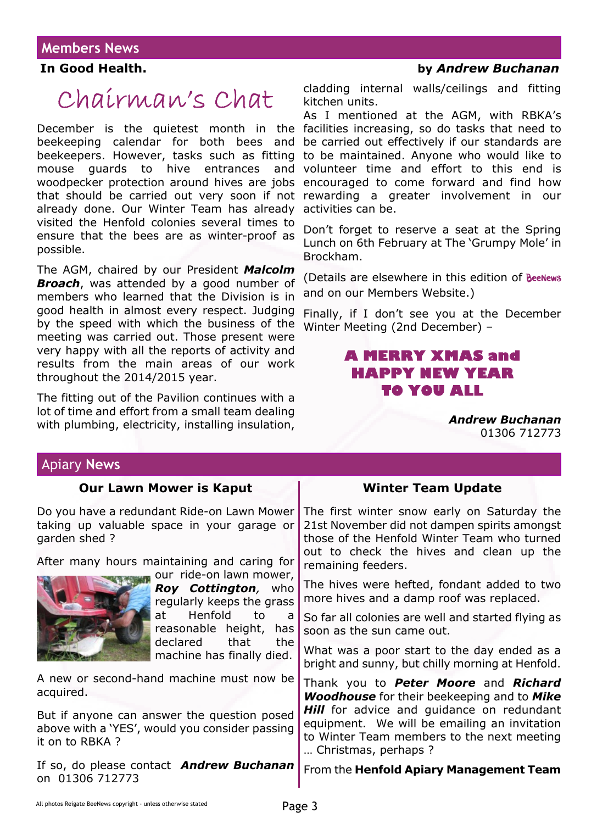# Chairman's Chat

December is the quietest month in the facilities increasing, so do tasks that need to beekeeping calendar for both bees and beekeepers. However, tasks such as fitting mouse guards to hive entrances and woodpecker protection around hives are jobs that should be carried out very soon if not already done. Our Winter Team has already visited the Henfold colonies several times to ensure that the bees are as winter-proof as possible.

The AGM, chaired by our President *Malcolm* **Broach**, was attended by a good number of members who learned that the Division is in good health in almost every respect. Judging by the speed with which the business of the meeting was carried out. Those present were very happy with all the reports of activity and results from the main areas of our work throughout the 2014/2015 year.

The fitting out of the Pavilion continues with a lot of time and effort from a small team dealing with plumbing, electricity, installing insulation,

#### **In Good Health. by** *Andrew Buchanan*

cladding internal walls/ceilings and fitting kitchen units.

As I mentioned at the AGM, with RBKA's be carried out effectively if our standards are to be maintained. Anyone who would like to volunteer time and effort to this end is encouraged to come forward and find how rewarding a greater involvement in our activities can be.

Don't forget to reserve a seat at the Spring Lunch on 6th February at The 'Grumpy Mole' in Brockham.

(Details are elsewhere in this edition of and on our Members Website.)

Finally, if I don't see you at the December Winter Meeting (2nd December) –

#### **A MERRY XMAS and HAPPY NEW YEAR TO YOU ALL**

*Andrew Buchanan* 01306 712773

#### Apiary **News**

| <b>Our Lawn Mower is Kaput</b>                                                                                                               | <b>Winter Team Update</b>                                                                                                                                                             |
|----------------------------------------------------------------------------------------------------------------------------------------------|---------------------------------------------------------------------------------------------------------------------------------------------------------------------------------------|
| Do you have a redundant Ride-on Lawn Mower<br>taking up valuable space in your garage or<br>garden shed?                                     | The first winter snow early on Saturday the<br>21st November did not dampen spirits amongst<br>those of the Henfold Winter Team who turned<br>out to check the hives and clean up the |
| After many hours maintaining and caring for                                                                                                  | remaining feeders.                                                                                                                                                                    |
| our ride-on lawn mower,<br><b>Roy Cottington</b> , who<br>regularly keeps the grass<br>Henfold<br>at<br>to<br>a<br>reasonable height,<br>has | The hives were hefted, fondant added to two<br>more hives and a damp roof was replaced.                                                                                               |
|                                                                                                                                              | So far all colonies are well and started flying as<br>soon as the sun came out.                                                                                                       |
| declared<br>that<br>the<br>machine has finally died.                                                                                         | What was a poor start to the day ended as a<br>bright and sunny, but chilly morning at Henfold.                                                                                       |
| A new or second-hand machine must now be<br>acquired.                                                                                        | Thank you to Peter Moore and Richard<br><b>Woodhouse</b> for their beekeeping and to Mike                                                                                             |
| But if anyone can answer the question posed<br>above with a 'YES', would you consider passing<br>it on to RBKA ?                             | Hill for advice and guidance on redundant<br>equipment. We will be emailing an invitation<br>to Winter Team members to the next meeting<br>Christmas, perhaps?                        |
| If so, do please contact <b>Andrew Buchanan</b><br>on 01306 712773                                                                           | From the Henfold Apiary Management Team                                                                                                                                               |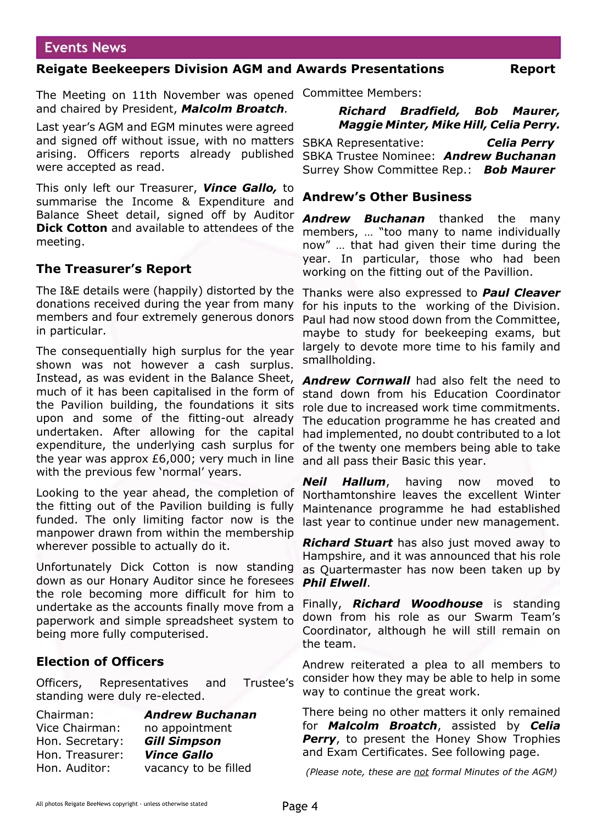#### **Events News**

#### **Reigate Beekeepers Division AGM and Awards Presentations Report**

The Meeting on 11th November was opened Committee Members: and chaired by President, *Malcolm Broatch.*

Last year's AGM and EGM minutes were agreed and signed off without issue, with no matters arising. Officers reports already published were accepted as read.

This only left our Treasurer, *Vince Gallo,* to summarise the Income & Expenditure and Balance Sheet detail, signed off by Auditor **Dick Cotton** and available to attendees of the meeting.

#### **The Treasurer's Report**

The I&E details were (happily) distorted by the donations received during the year from many members and four extremely generous donors in particular.

The consequentially high surplus for the year shown was not however a cash surplus. Instead, as was evident in the Balance Sheet, much of it has been capitalised in the form of the Pavilion building, the foundations it sits upon and some of the fitting-out already undertaken. After allowing for the capital expenditure, the underlying cash surplus for the year was approx £6,000; very much in line with the previous few 'normal' years.

Looking to the year ahead, the completion of the fitting out of the Pavilion building is fully funded. The only limiting factor now is the manpower drawn from within the membership wherever possible to actually do it.

Unfortunately Dick Cotton is now standing down as our Honary Auditor since he foresees the role becoming more difficult for him to undertake as the accounts finally move from a paperwork and simple spreadsheet system to being more fully computerised.

#### **Election of Officers**

Officers, Representatives and Trustee's standing were duly re-elected.

| <b>Andrew Buchanan</b> |
|------------------------|
| no appointment         |
| <b>Gill Simpson</b>    |
| <b>Vince Gallo</b>     |
| vacancy to be filled   |
|                        |

#### *Richard Bradfield, Bob Maurer, Maggie Minter, Mike Hill, Celia Perry.*

SBKA Representative: *Celia Perry* SBKA Trustee Nominee: *Andrew Buchanan* Surrey Show Committee Rep.: *Bob Maurer*

#### **Andrew's Other Business**

*Andrew Buchanan* thanked the many members, … "too many to name individually now" … that had given their time during the year. In particular, those who had been working on the fitting out of the Pavillion.

Thanks were also expressed to *Paul Cleaver* for his inputs to the working of the Division. Paul had now stood down from the Committee, maybe to study for beekeeping exams, but largely to devote more time to his family and smallholding.

*Andrew Cornwall* had also felt the need to stand down from his Education Coordinator role due to increased work time commitments. The education programme he has created and had implemented, no doubt contributed to a lot of the twenty one members being able to take and all pass their Basic this year.

*Neil Hallum*, having now moved to Northamtonshire leaves the excellent Winter Maintenance programme he had established last year to continue under new management.

*Richard Stuart* has also just moved away to Hampshire, and it was announced that his role as Quartermaster has now been taken up by *Phil Elwell*.

Finally, *Richard Woodhouse* is standing down from his role as our Swarm Team's Coordinator, although he will still remain on the team.

Andrew reiterated a plea to all members to consider how they may be able to help in some way to continue the great work.

There being no other matters it only remained for *Malcolm Broatch*, assisted by *Celia* **Perry**, to present the Honey Show Trophies and Exam Certificates. See following page.

*(Please note, these are not formal Minutes of the AGM)*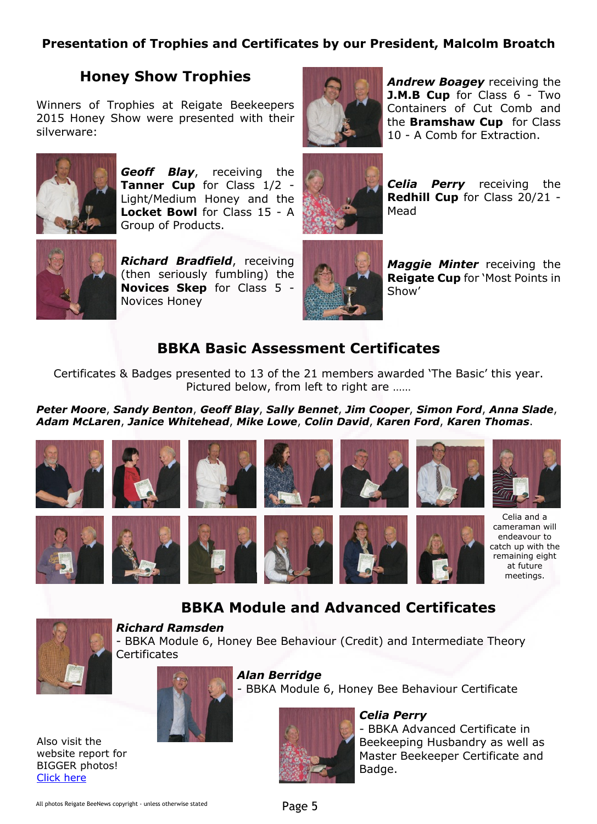#### **Presentation of Trophies and Certificates by our President, Malcolm Broatch**

#### **Honey Show Trophies**

Winners of Trophies at Reigate Beekeepers 2015 Honey Show were presented with their silverware:



*Geoff Blay*, receiving the **Tanner Cup** for Class 1/2 - Light/Medium Honey and the **Locket Bowl** for Class 15 - A Group of Products.



*Richard Bradfield*, receiving (then seriously fumbling) the **Novices Skep** for Class 5 - Novices Honey



*Andrew Boagey* receiving the **J.M.B Cup** for Class 6 - Two Containers of Cut Comb and the **Bramshaw Cup** for Class 10 - A Comb for Extraction.



*Celia Perry* receiving the **Redhill Cup** for Class 20/21 - Mead



*Maggie Minter* receiving the **Reigate Cup** for 'Most Points in Show'

#### **BBKA Basic Assessment Certificates**

Certificates & Badges presented to 13 of the 21 members awarded 'The Basic' this year. Pictured below, from left to right are ……

*Peter Moore*, *Sandy Benton*, *Geoff Blay*, *Sally Bennet*, *Jim Cooper*, *Simon Ford*, *Anna Slade*, *Adam McLaren*, *Janice Whitehead*, *Mike Lowe*, *Colin David*, *Karen Ford*, *Karen Thomas*.



#### **BBKA Module and Advanced Certificates**



*Richard Ramsden* - BBKA Module 6, Honey Bee Behaviour (Credit) and Intermediate Theory **Certificates** 



*Alan Berridge*

- BBKA Module 6, Honey Bee Behaviour Certificate



#### *Celia Perry*

- BBKA Advanced Certificate in Beekeeping Husbandry as well as Master Beekeeper Certificate and Badge.

Also visit the website report for BIGGER photos! [Click here](http://wp.me/p2VGpI-4TL)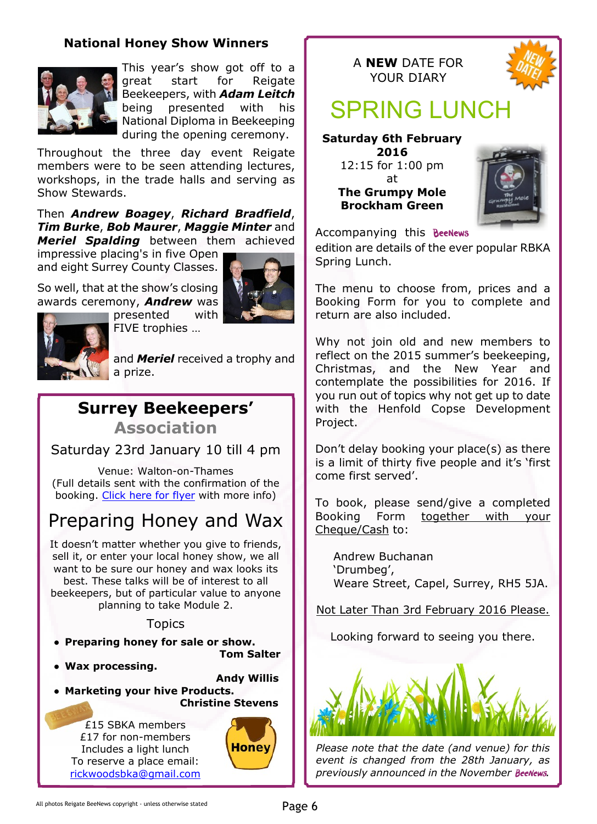#### **National Honey Show Winners**



This year's show got off to a great start for Reigate Beekeepers, with *Adam Leitch* being presented with his National Diploma in Beekeeping during the opening ceremony.

Throughout the three day event Reigate members were to be seen attending lectures, workshops, in the trade halls and serving as Show Stewards.

Then *Andrew Boagey*, *Richard Bradfield*, *Tim Burke*, *Bob Maurer*, *Maggie Minter* and *Meriel Spalding* between them achieved

impressive placing's in five Open and eight Surrey County Classes.

So well, that at the show's closing awards ceremony, *Andrew* was





and *Meriel* received a trophy and a prize.

## **Surrey Beekeepers'**

**Association**

Saturday 23rd January 10 till 4 pm

Venue: Walton-on-Thames (Full details sent with the confirmation of the booking. [Click here for flyer](http://www.surreybeekeepers.org.uk/uploads/2/7/3/9/27396931/products_of_the_hive_23rd_jan.pdf) with more info)

## Preparing Honey and Wax

It doesn't matter whether you give to friends, sell it, or enter your local honey show, we all want to be sure our honey and wax looks its best. These talks will be of interest to all beekeepers, but of particular value to anyone planning to take Module 2.

#### **Topics**

- **● Preparing honey for sale or show.**
- **● Wax processing.**
- **Andy Willis**

 **Tom Salter**

**● Marketing your hive Products. Christine Stevens**

£15 SBKA members £17 for non-members Includes a light lunch To reserve a place email: [rickwoodsbka@gmail.com](mailto:rickwoodsbka@gmail.com)







# SPRING LUNCH

**Saturday 6th February 2016** 12:15 for 1:00 pm

> at **The Grumpy Mole Brockham Green**



Accompanying this

edition are details of the ever popular RBKA Spring Lunch.

The menu to choose from, prices and a Booking Form for you to complete and return are also included.

Why not join old and new members to reflect on the 2015 summer's beekeeping, Christmas, and the New Year and contemplate the possibilities for 2016. If you run out of topics why not get up to date with the Henfold Copse Development Project.

Don't delay booking your place(s) as there is a limit of thirty five people and it's 'first come first served'.

To book, please send/give a completed Booking Form together with your Cheque/Cash to:

Andrew Buchanan 'Drumbeg', Weare Street, Capel, Surrey, RH5 5JA.

Not Later Than 3rd February 2016 Please.

Looking forward to seeing you there.



*Please note that the date (and venue) for this event is changed from the 28th January, as* previously announced in the November BeeNews.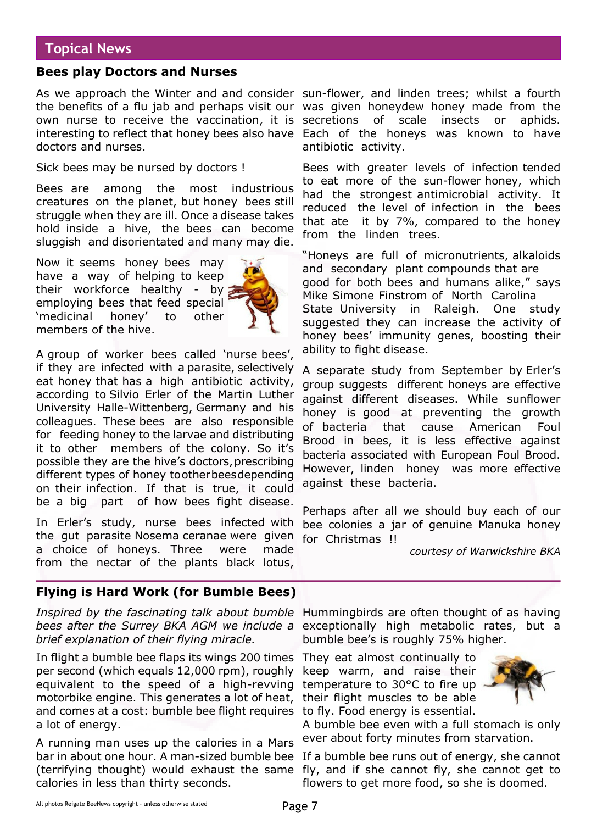#### **Topical News**

#### **Bees play Doctors and Nurses**

As we approach the Winter and and consider sun-flower, and linden trees; whilst a fourth the benefits of a flu jab and perhaps visit our was given honeydew honey made from the own nurse to receive the vaccination, it is secretions interesting to reflect that honey bees also have Each of the honeys was known to have doctors and nurses.

Sick bees may be nursed by doctors !

Bees are among the most industrious creatures on the planet, but honey bees still struggle when they are ill. Once a disease takes hold inside a hive, the bees can become sluggish and disorientated and many may die.

Now it seems honey bees may have a way of helping to keep their workforce healthy - by employing bees that feed special 'medicinal honey' to other members of the hive.



A group of worker bees called 'nurse bees', if they are infected with a parasite, selectively eat honey that has a high antibiotic activity, according to Silvio Erler of the Martin Luther University Halle-Wittenberg, Germany and his colleagues. These bees are also responsible for feeding honey to the larvae and distributing it to other members of the colony. So it's possible they are the hive's doctors, prescribing different types of honey to other bees depending on their infection. If that is true, it could be a big part of how bees fight disease.

In Erler's study, nurse bees infected with the gut parasite Nosema ceranae were given a choice of honeys. Three were made from the nectar of the plants black lotus,

**Flying is Hard Work (for Bumble Bees)**

*Inspired by the fascinating talk about bumble* Hummingbirds are often thought of as having *bees after the Surrey BKA AGM we include a* exceptionally high metabolic rates, but a *brief explanation of their flying miracle.*

In flight a bumble bee flaps its wings 200 times They eat almost continually to per second (which equals 12,000 rpm), roughly equivalent to the speed of a high-revving motorbike engine. This generates a lot of heat, and comes at a cost: bumble bee flight requires a lot of energy.

A running man uses up the calories in a Mars bar in about one hour. A man-sized bumble bee If a bumble bee runs out of energy, she cannot (terrifying thought) would exhaust the same fly, and if she cannot fly, she cannot get to calories in less than thirty seconds.

of scale insects or aphids. antibiotic activity.

Bees with greater levels of infection tended to eat more of the sun-flower honey, which had the strongest antimicrobial activity. It reduced the level of infection in the bees that ate it by 7%, compared to the honey from the linden trees.

"Honeys are full of micronutrients, alkaloids and secondary plant compounds that are good for both bees and humans alike," says Mike Simone Finstrom of North Carolina State University in Raleigh. One study suggested they can increase the activity of honey bees' immunity genes, boosting their ability to fight disease.

A separate study from September by Erler's group suggests different honeys are effective against different diseases. While sunflower honey is good at preventing the growth of bacteria that cause American Foul Brood in bees, it is less effective against bacteria associated with European Foul Brood. However, linden honey was more effective against these bacteria.

Perhaps after all we should buy each of our bee colonies a jar of genuine Manuka honey for Christmas !!

*courtesy of Warwickshire BKA*

bumble bee's is roughly 75% higher.

keep warm, and raise their temperature to 30°C to fire up their flight muscles to be able to fly. Food energy is essential.



A bumble bee even with a full stomach is only ever about forty minutes from starvation.

flowers to get more food, so she is doomed.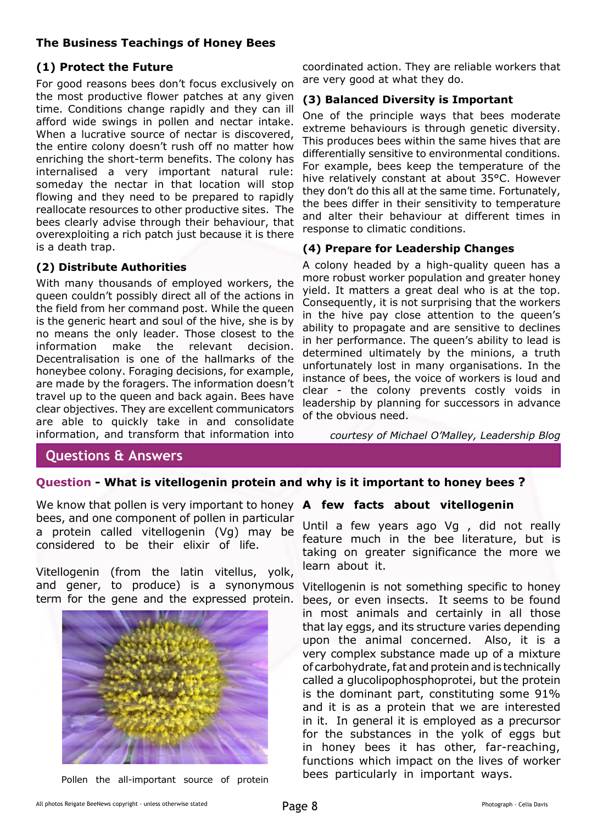#### **The Business Teachings of Honey Bees**

#### **(1) Protect the Future**

For good reasons bees don't focus exclusively on the most productive flower patches at any given time. Conditions change rapidly and they can ill afford wide swings in pollen and nectar intake. When a lucrative source of nectar is discovered, the entire colony doesn't rush off no matter how enriching the short-term benefits. The colony has internalised a very important natural rule: someday the nectar in that location will stop flowing and they need to be prepared to rapidly reallocate resources to other productive sites. The bees clearly advise through their behaviour, that overexploiting a rich patch just because it is there is a death trap.

#### **(2) Distribute Authorities**

With many thousands of employed workers, the queen couldn't possibly direct all of the actions in the field from her command post. While the queen is the generic heart and soul of the hive, she is by no means the only leader. Those closest to the information make the relevant decision. Decentralisation is one of the hallmarks of the honeybee colony. Foraging decisions, for example, are made by the foragers. The information doesn't travel up to the queen and back again. Bees have clear objectives. They are excellent communicators are able to quickly take in and consolidate information, and transform that information into

coordinated action. They are reliable workers that are very good at what they do.

#### **(3) Balanced Diversity is Important**

One of the principle ways that bees moderate extreme behaviours is through genetic diversity. This produces bees within the same hives that are differentially sensitive to environmental conditions. For example, bees keep the temperature of the hive relatively constant at about 35°C. However they don't do this all at the same time. Fortunately, the bees differ in their sensitivity to temperature and alter their behaviour at different times in response to climatic conditions.

#### **(4) Prepare for Leadership Changes**

A colony headed by a high-quality queen has a more robust worker population and greater honey yield. It matters a great deal who is at the top. Consequently, it is not surprising that the workers in the hive pay close attention to the queen's ability to propagate and are sensitive to declines in her performance. The queen's ability to lead is determined ultimately by the minions, a truth unfortunately lost in many organisations. In the instance of bees, the voice of workers is loud and clear - the colony prevents costly voids in leadership by planning for successors in advance of the obvious need.

*courtesy of Michael O'Malley, Leadership Blog*

#### **Questions & Answers**

#### **Question - What is vitellogenin protein and why is it important to honey bees ?**

We know that pollen is very important to honey **A few facts about vitellogenin** bees, and one component of pollen in particular a protein called vitellogenin (Vg) may be considered to be their elixir of life.

Vitellogenin (from the latin vitellus, yolk, and gener, to produce) is a synonymous term for the gene and the expressed protein.



Pollen the all-important source of protein

Until a few years ago Vg , did not really feature much in the bee literature, but is taking on greater significance the more we learn about it.

Vitellogenin is not something specific to honey bees, or even insects. It seems to be found in most animals and certainly in all those that lay eggs, and its structure varies depending upon the animal concerned. Also, it is a very complex substance made up of a mixture of carbohydrate, fat and protein and is technically called a glucolipophosphoprotei, but the protein is the dominant part, constituting some 91% and it is as a protein that we are interested in it. In general it is employed as a precursor for the substances in the yolk of eggs but in honey bees it has other, far-reaching, functions which impact on the lives of worker bees particularly in important ways.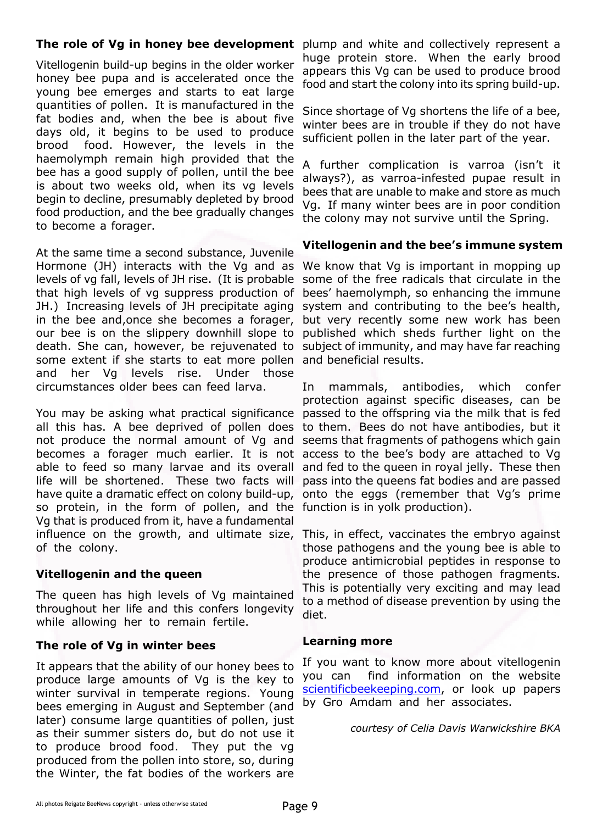Vitellogenin build-up begins in the older worker honey bee pupa and is accelerated once the young bee emerges and starts to eat large quantities of pollen. It is manufactured in the fat bodies and, when the bee is about five days old, it begins to be used to produce brood food. However, the levels in the haemolymph remain high provided that the bee has a good supply of pollen, until the bee is about two weeks old, when its vg levels begin to decline, presumably depleted by brood food production, and the bee gradually changes to become a forager.

At the same time a second substance, Juvenile Hormone (JH) interacts with the Vg and as levels of vg fall, levels of JH rise. (It is probable that high levels of vg suppress production of JH.) Increasing levels of JH precipitate aging in the bee and,once she becomes a forager, our bee is on the slippery downhill slope to death. She can, however, be rejuvenated to some extent if she starts to eat more pollen and her Vg levels rise. Under those circumstances older bees can feed larva.

You may be asking what practical significance all this has. A bee deprived of pollen does not produce the normal amount of Vg and becomes a forager much earlier. It is not access to the bee's body are attached to Vg able to feed so many larvae and its overall life will be shortened. These two facts will have quite a dramatic effect on colony build-up, so protein, in the form of pollen, and the function is in yolk production). Vg that is produced from it, have a fundamental influence on the growth, and ultimate size, This, in effect, vaccinates the embryo against of the colony.

#### **Vitellogenin and the queen**

The queen has high levels of Vg maintained throughout her life and this confers longevity while allowing her to remain fertile.

#### **The role of Vg in winter bees**

It appears that the ability of our honey bees to produce large amounts of Vg is the key to winter survival in temperate regions. Young bees emerging in August and September (and later) consume large quantities of pollen, just as their summer sisters do, but do not use it to produce brood food. They put the vg produced from the pollen into store, so, during the Winter, the fat bodies of the workers are

**The role of Vg in honey bee development** plump and white and collectively represent a huge protein store. When the early brood appears this Vg can be used to produce brood food and start the colony into its spring build-up.

> Since shortage of Vg shortens the life of a bee, winter bees are in trouble if they do not have sufficient pollen in the later part of the year.

> A further complication is varroa (isn't it always?), as varroa-infested pupae result in bees that are unable to make and store as much Vg. If many winter bees are in poor condition the colony may not survive until the Spring.

#### **Vitellogenin and the bee's immune system**

We know that Vq is important in mopping up some of the free radicals that circulate in the bees' haemolymph, so enhancing the immune system and contributing to the bee's health, but very recently some new work has been published which sheds further light on the subject of immunity, and may have far reaching and beneficial results.

In mammals, antibodies, which confer protection against specific diseases, can be passed to the offspring via the milk that is fed to them. Bees do not have antibodies, but it seems that fragments of pathogens which gain and fed to the queen in royal jelly. These then pass into the queens fat bodies and are passed onto the eggs (remember that Vg's prime

those pathogens and the young bee is able to produce antimicrobial peptides in response to the presence of those pathogen fragments. This is potentially very exciting and may lead to a method of disease prevention by using the diet.

#### **Learning more**

If you want to know more about vitellogenin you can find information on the website [scientificbeekeeping.com,](http://scientificbeekeeping.com/) or look up papers by Gro Amdam and her associates.

*courtesy of Celia Davis Warwickshire BKA*